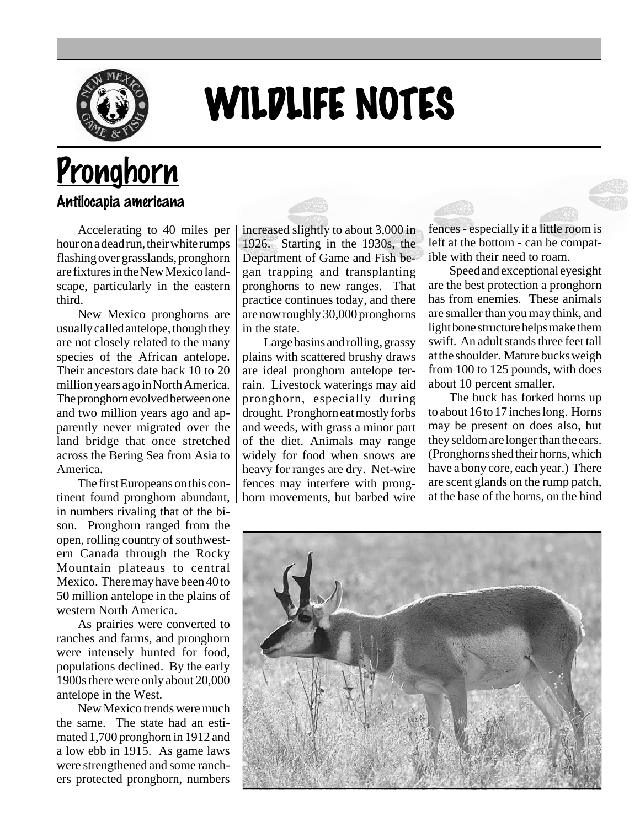

## WILDLIFE NOTES

## Pronghorn

## Antilocapia americana

Accelerating to 40 miles per hour on a dead run, their white rumps flashing over grasslands, pronghorn are fixtures in the New Mexico landscape, particularly in the eastern third.

New Mexico pronghorns are usually called antelope, though they are not closely related to the many species of the African antelope. Their ancestors date back 10 to 20 million years ago in North America. The pronghorn evolved between one and two million years ago and apparently never migrated over the land bridge that once stretched across the Bering Sea from Asia to America.

The first Europeans on this continent found pronghorn abundant, in numbers rivaling that of the bison. Pronghorn ranged from the open, rolling country of southwestern Canada through the Rocky Mountain plateaus to central Mexico. There may have been 40 to 50 million antelope in the plains of western North America.

As prairies were converted to ranches and farms, and pronghorn were intensely hunted for food, populations declined. By the early 1900s there were only about 20,000 antelope in the West.

New Mexico trends were much the same. The state had an estimated 1,700 pronghorn in 1912 and a low ebb in 1915. As game laws were strengthened and some ranchers protected pronghorn, numbers

increased slightly to about 3,000 in 1926. Starting in the 1930s, the Department of Game and Fish began trapping and transplanting pronghorns to new ranges. That practice continues today, and there are now roughly 30,000 pronghorns in the state.

Large basins and rolling, grassy plains with scattered brushy draws are ideal pronghorn antelope terrain. Livestock waterings may aid pronghorn, especially during drought. Pronghorn eat mostly forbs and weeds, with grass a minor part of the diet. Animals may range widely for food when snows are heavy for ranges are dry. Net-wire fences may interfere with pronghorn movements, but barbed wire

fences - especially if a little room is left at the bottom - can be compatible with their need to roam.

Speed and exceptional eyesight are the best protection a pronghorn has from enemies. These animals are smaller than you may think, and light bone structure helps make them swift. An adult stands three feet tall at the shoulder. Mature bucks weigh from 100 to 125 pounds, with does about 10 percent smaller.

The buck has forked horns up to about 16 to 17 inches long. Horns may be present on does also, but they seldom are longer than the ears. (Pronghorns shed their horns, which have a bony core, each year.) There are scent glands on the rump patch, at the base of the horns, on the hind